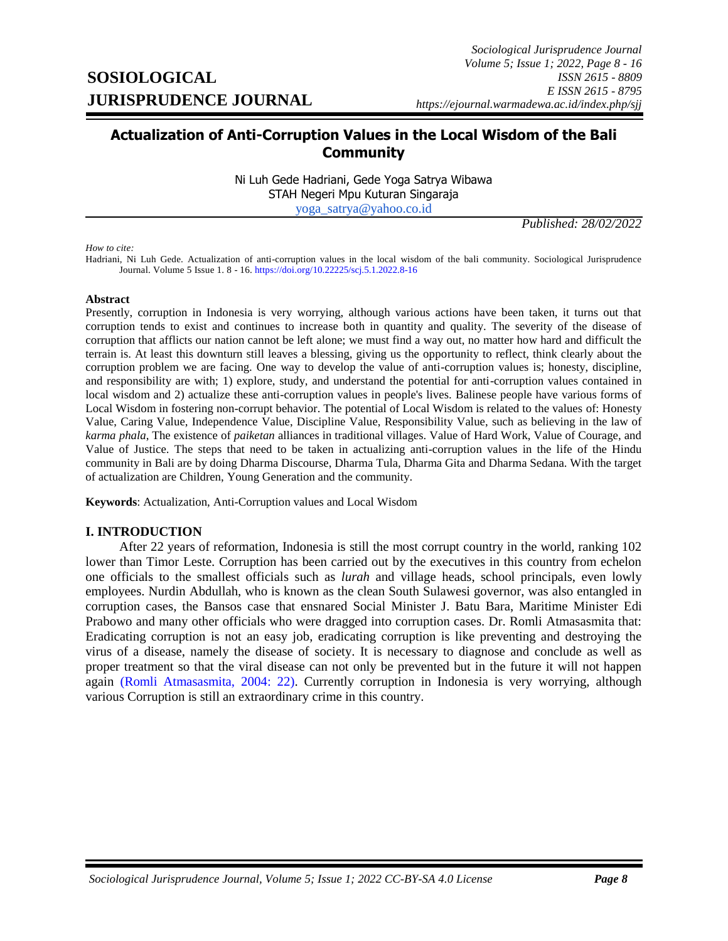# **Actualization of Anti-Corruption Values in the Local Wisdom of the Bali Community**

Ni Luh Gede Hadriani, Gede Yoga Satrya Wibawa STAH Negeri Mpu Kuturan Singaraja [yoga\\_satrya@yahoo.co.id](mailto:yoga_satrya@yahoo.co.id)

*Published: 28/02/2022*

#### *How to cite:*

Hadriani, Ni Luh Gede. Actualization of anti-corruption values in the local wisdom of the bali community. Sociological Jurisprudence Journal. Volume 5 Issue 1. 8 - 16[. https://doi.org/10.22225/scj.5.1.2022.8-16](https://doi.org/10.22225/scj.5.1.2022.8-16)

#### **Abstract**

Presently, corruption in Indonesia is very worrying, although various actions have been taken, it turns out that corruption tends to exist and continues to increase both in quantity and quality. The severity of the disease of corruption that afflicts our nation cannot be left alone; we must find a way out, no matter how hard and difficult the terrain is. At least this downturn still leaves a blessing, giving us the opportunity to reflect, think clearly about the corruption problem we are facing. One way to develop the value of anti-corruption values is; honesty, discipline, and responsibility are with; 1) explore, study, and understand the potential for anti-corruption values contained in local wisdom and 2) actualize these anti-corruption values in people's lives. Balinese people have various forms of Local Wisdom in fostering non-corrupt behavior. The potential of Local Wisdom is related to the values of: Honesty Value, Caring Value, Independence Value, Discipline Value, Responsibility Value, such as believing in the law of *karma phala*, The existence of *paiketan* alliances in traditional villages. Value of Hard Work, Value of Courage, and Value of Justice. The steps that need to be taken in actualizing anti-corruption values in the life of the Hindu community in Bali are by doing Dharma Discourse, Dharma Tula, Dharma Gita and Dharma Sedana. With the target of actualization are Children, Young Generation and the community.

**Keywords**: Actualization, Anti-Corruption values and Local Wisdom

#### **I. INTRODUCTION**

<span id="page-0-0"></span>After 22 years of reformation, Indonesia is still the most corrupt country in the world, ranking 102 lower than Timor Leste. Corruption has been carried out by the executives in this country from echelon one officials to the smallest officials such as *lurah* and village heads, school principals, even lowly employees. Nurdin Abdullah, who is known as the clean South Sulawesi governor, was also entangled in corruption cases, the Bansos case that ensnared Social Minister J. Batu Bara, Maritime Minister Edi Prabowo and many other officials who were dragged into corruption cases. Dr. Romli Atmasasmita that: Eradicating corruption is not an easy job, eradicating corruption is like preventing and destroying the virus of a disease, namely the disease of society. It is necessary to diagnose and conclude as well as proper treatment so that the viral disease can not only be prevented but in the future it will not happen again [\(Romli Atmasasmita, 2004:](#page-0-0) 22). Currently corruption in Indonesia is very worrying, although various Corruption is still an extraordinary crime in this country.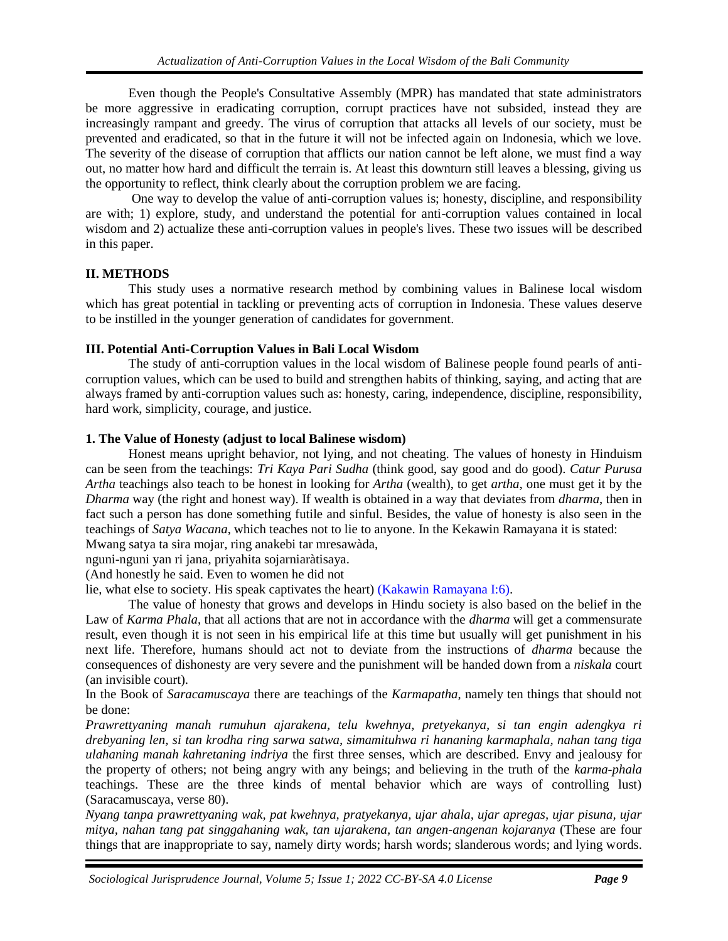Even though the People's Consultative Assembly (MPR) has mandated that state administrators be more aggressive in eradicating corruption, corrupt practices have not subsided, instead they are increasingly rampant and greedy. The virus of corruption that attacks all levels of our society, must be prevented and eradicated, so that in the future it will not be infected again on Indonesia, which we love. The severity of the disease of corruption that afflicts our nation cannot be left alone, we must find a way out, no matter how hard and difficult the terrain is. At least this downturn still leaves a blessing, giving us the opportunity to reflect, think clearly about the corruption problem we are facing.

One way to develop the value of anti-corruption values is; honesty, discipline, and responsibility are with; 1) explore, study, and understand the potential for anti-corruption values contained in local wisdom and 2) actualize these anti-corruption values in people's lives. These two issues will be described in this paper.

# **II. METHODS**

This study uses a normative research method by combining values in Balinese local wisdom which has great potential in tackling or preventing acts of corruption in Indonesia. These values deserve to be instilled in the younger generation of candidates for government.

### **III. Potential Anti-Corruption Values in Bali Local Wisdom**

The study of anti-corruption values in the local wisdom of Balinese people found pearls of anticorruption values, which can be used to build and strengthen habits of thinking, saying, and acting that are always framed by anti-corruption values such as: honesty, caring, independence, discipline, responsibility, hard work, simplicity, courage, and justice.

# **1. The Value of Honesty (adjust to local Balinese wisdom)**

Honest means upright behavior, not lying, and not cheating. The values of honesty in Hinduism can be seen from the teachings: *Tri Kaya Pari Sudha* (think good, say good and do good). *Catur Purusa Artha* teachings also teach to be honest in looking for *Artha* (wealth), to get *artha*, one must get it by the *Dharma* way (the right and honest way). If wealth is obtained in a way that deviates from *dharma*, then in fact such a person has done something futile and sinful. Besides, the value of honesty is also seen in the teachings of *Satya Wacana*, which teaches not to lie to anyone. In the Kekawin Ramayana it is stated: Mwang satya ta sira mojar, ring anakebi tar mresawàda,

nguni-nguni yan ri jana, priyahita sojarniaràtisaya.

(And honestly he said. Even to women he did not

lie, what else to society. His speak captivates the heart) [\(Kakawin Ramayana I:6\).](#page-0-0)

The value of honesty that grows and develops in Hindu society is also based on the belief in the Law of *Karma Phala*, that all actions that are not in accordance with the *dharma* will get a commensurate result, even though it is not seen in his empirical life at this time but usually will get punishment in his next life. Therefore, humans should act not to deviate from the instructions of *dharma* because the consequences of dishonesty are very severe and the punishment will be handed down from a *niskala* court (an invisible court).

In the Book of *Saracamuscaya* there are teachings of the *Karmapatha*, namely ten things that should not be done:

*Prawrettyaning manah rumuhun ajarakena, telu kwehnya, pretyekanya, si tan engin adengkya ri drebyaning len, si tan krodha ring sarwa satwa, simamituhwa ri hananing karmaphala, nahan tang tiga ulahaning manah kahretaning indriya* the first three senses, which are described. Envy and jealousy for the property of others; not being angry with any beings; and believing in the truth of the *karma-phala* teachings. These are the three kinds of mental behavior which are ways of controlling lust) (Saracamuscaya, verse 80).

*Nyang tanpa prawrettyaning wak, pat kwehnya, pratyekanya, ujar ahala, ujar apregas, ujar pisuna, ujar mitya, nahan tang pat singgahaning wak, tan ujarakena, tan angen-angenan kojaranya* (These are four things that are inappropriate to say, namely dirty words; harsh words; slanderous words; and lying words.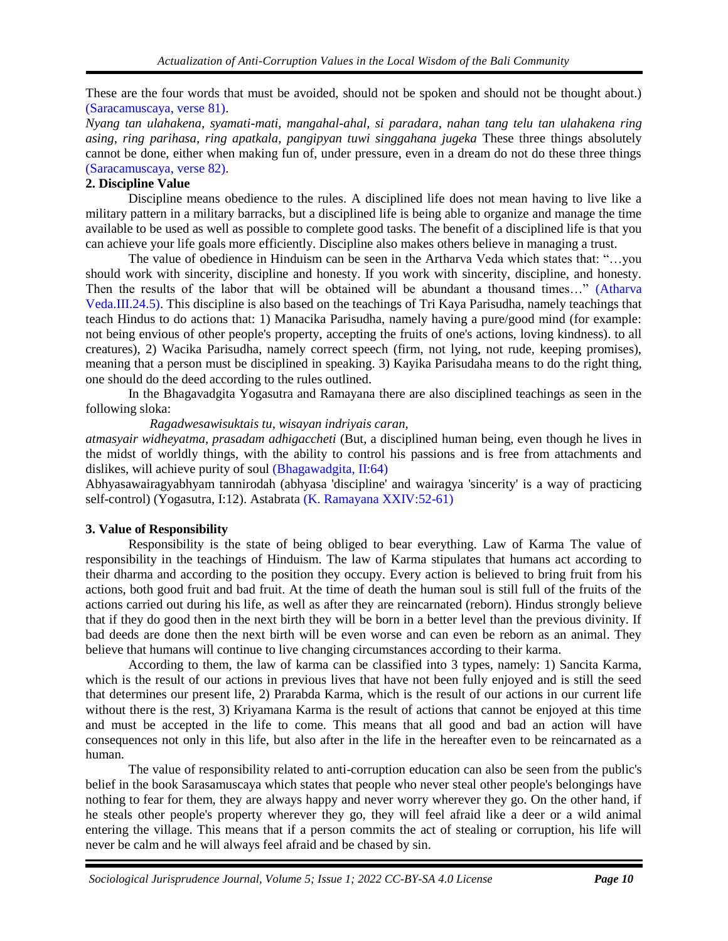These are the four words that must be avoided, should not be spoken and should not be thought about.) [\(Saracamuscaya, verse 81\).](#page-0-0)

*Nyang tan ulahakena, syamati-mati, mangahal-ahal, si paradara, nahan tang telu tan ulahakena ring asing, ring parihasa, ring apatkala, pangipyan tuwi singgahana jugeka* These three things absolutely cannot be done, either when making fun of, under pressure, even in a dream do not do these three things [\(Saracamuscaya,](#page-0-0) verse 82).

# **2. Discipline Value**

Discipline means obedience to the rules. A disciplined life does not mean having to live like a military pattern in a military barracks, but a disciplined life is being able to organize and manage the time available to be used as well as possible to complete good tasks. The benefit of a disciplined life is that you can achieve your life goals more efficiently. Discipline also makes others believe in managing a trust.

The value of obedience in Hinduism can be seen in the Artharva Veda which states that: "…you should work with sincerity, discipline and honesty. If you work with sincerity, discipline, and honesty. Then the results of the labor that will be obtained will be abundant a thousand times…" [\(Atharva](#page-0-0)  [Veda.III.24.5\).](#page-0-0) This discipline is also based on the teachings of Tri Kaya Parisudha, namely teachings that teach Hindus to do actions that: 1) Manacika Parisudha, namely having a pure/good mind (for example: not being envious of other people's property, accepting the fruits of one's actions, loving kindness). to all creatures), 2) Wacika Parisudha, namely correct speech (firm, not lying, not rude, keeping promises), meaning that a person must be disciplined in speaking. 3) Kayika Parisudaha means to do the right thing, one should do the deed according to the rules outlined.

In the Bhagavadgita Yogasutra and Ramayana there are also disciplined teachings as seen in the following sloka:

*Ragadwesawisuktais tu, wisayan indriyais caran,*

*atmasyair widheyatma, prasadam adhigaccheti* (But, a disciplined human being, even though he lives in the midst of worldly things, with the ability to control his passions and is free from attachments and dislikes, will achieve purity of soul [\(Bhagawadgita, II:64\)](#page-0-0)

Abhyasawairagyabhyam tannirodah (abhyasa 'discipline' and wairagya 'sincerity' is a way of practicing self-control) (Yogasutra, I:12). Astabrata [\(K. Ramayana XXIV:52-61\)](#page-0-0)

# **3. Value of Responsibility**

Responsibility is the state of being obliged to bear everything. Law of Karma The value of responsibility in the teachings of Hinduism. The law of Karma stipulates that humans act according to their dharma and according to the position they occupy. Every action is believed to bring fruit from his actions, both good fruit and bad fruit. At the time of death the human soul is still full of the fruits of the actions carried out during his life, as well as after they are reincarnated (reborn). Hindus strongly believe that if they do good then in the next birth they will be born in a better level than the previous divinity. If bad deeds are done then the next birth will be even worse and can even be reborn as an animal. They believe that humans will continue to live changing circumstances according to their karma.

According to them, the law of karma can be classified into 3 types, namely: 1) Sancita Karma, which is the result of our actions in previous lives that have not been fully enjoyed and is still the seed that determines our present life, 2) Prarabda Karma, which is the result of our actions in our current life without there is the rest, 3) Kriyamana Karma is the result of actions that cannot be enjoyed at this time and must be accepted in the life to come. This means that all good and bad an action will have consequences not only in this life, but also after in the life in the hereafter even to be reincarnated as a human.

The value of responsibility related to anti-corruption education can also be seen from the public's belief in the book Sarasamuscaya which states that people who never steal other people's belongings have nothing to fear for them, they are always happy and never worry wherever they go. On the other hand, if he steals other people's property wherever they go, they will feel afraid like a deer or a wild animal entering the village. This means that if a person commits the act of stealing or corruption, his life will never be calm and he will always feel afraid and be chased by sin.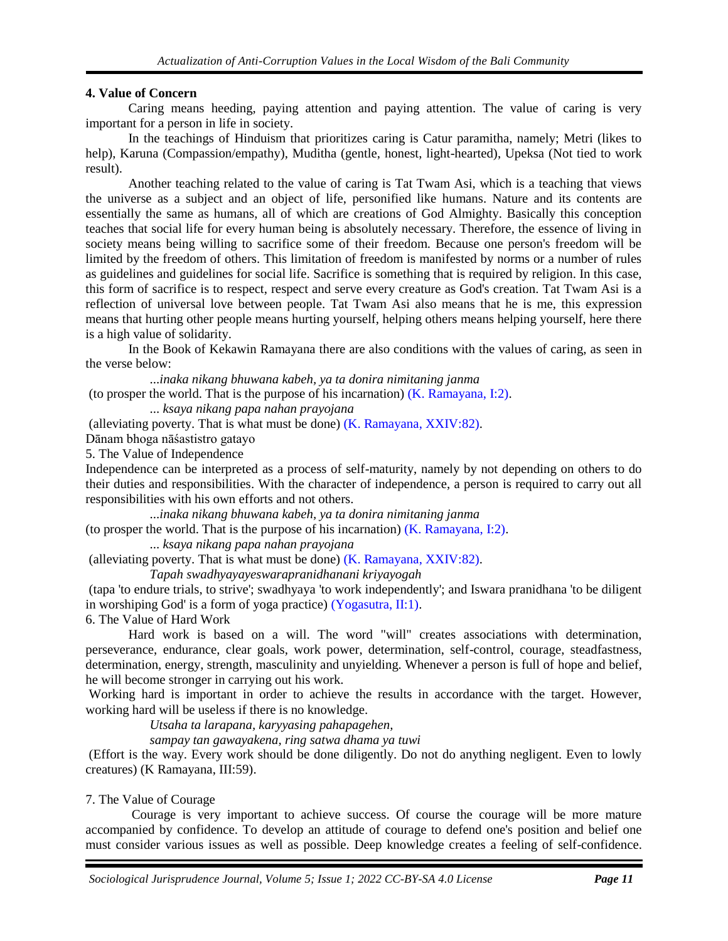### **4. Value of Concern**

Caring means heeding, paying attention and paying attention. The value of caring is very important for a person in life in society.

In the teachings of Hinduism that prioritizes caring is Catur paramitha, namely; Metri (likes to help), Karuna (Compassion/empathy), Muditha (gentle, honest, light-hearted), Upeksa (Not tied to work result).

Another teaching related to the value of caring is Tat Twam Asi, which is a teaching that views the universe as a subject and an object of life, personified like humans. Nature and its contents are essentially the same as humans, all of which are creations of God Almighty. Basically this conception teaches that social life for every human being is absolutely necessary. Therefore, the essence of living in society means being willing to sacrifice some of their freedom. Because one person's freedom will be limited by the freedom of others. This limitation of freedom is manifested by norms or a number of rules as guidelines and guidelines for social life. Sacrifice is something that is required by religion. In this case, this form of sacrifice is to respect, respect and serve every creature as God's creation. Tat Twam Asi is a reflection of universal love between people. Tat Twam Asi also means that he is me, this expression means that hurting other people means hurting yourself, helping others means helping yourself, here there is a high value of solidarity.

In the Book of Kekawin Ramayana there are also conditions with the values of caring, as seen in the verse below:

...*inaka nikang bhuwana kabeh, ya ta donira nimitaning janma*

(to prosper the world. That is the purpose of his incarnation) [\(K. Ramayana, I:2\).](#page-0-0)

... *ksaya nikang papa nahan prayojana*

(alleviating poverty. That is what must be done)  $(K. Ramayana, XXIV:82)$ .

Dānam bhoga nāśastistro gatayo

5. The Value of Independence

Independence can be interpreted as a process of self-maturity, namely by not depending on others to do their duties and responsibilities. With the character of independence, a person is required to carry out all responsibilities with his own efforts and not others.

...*inaka nikang bhuwana kabeh, ya ta donira nimitaning janma*

(to prosper the world. That is the purpose of his incarnation) [\(K. Ramayana, I:2\).](#page-0-0)

... *ksaya nikang papa nahan prayojana*

(alleviating poverty. That is what must be done) [\(K. Ramayana, XXIV:82\).](#page-0-0)

*Tapah swadhyayayeswarapranidhanani kriyayogah*

(tapa 'to endure trials, to strive'; swadhyaya 'to work independently'; and Iswara pranidhana 'to be diligent in worshiping God' is a form of yoga practice) [\(Yogasutra, II:1\).](#page-0-0)

6. The Value of Hard Work

Hard work is based on a will. The word "will" creates associations with determination, perseverance, endurance, clear goals, work power, determination, self-control, courage, steadfastness, determination, energy, strength, masculinity and unyielding. Whenever a person is full of hope and belief, he will become stronger in carrying out his work.

Working hard is important in order to achieve the results in accordance with the target. However, working hard will be useless if there is no knowledge.

*Utsaha ta larapana, karyyasing pahapagehen,*

*sampay tan gawayakena, ring satwa dhama ya tuwi*

(Effort is the way. Every work should be done diligently. Do not do anything negligent. Even to lowly creatures) (K Ramayana, III:59).

7. The Value of Courage

Courage is very important to achieve success. Of course the courage will be more mature accompanied by confidence. To develop an attitude of courage to defend one's position and belief one must consider various issues as well as possible. Deep knowledge creates a feeling of self-confidence.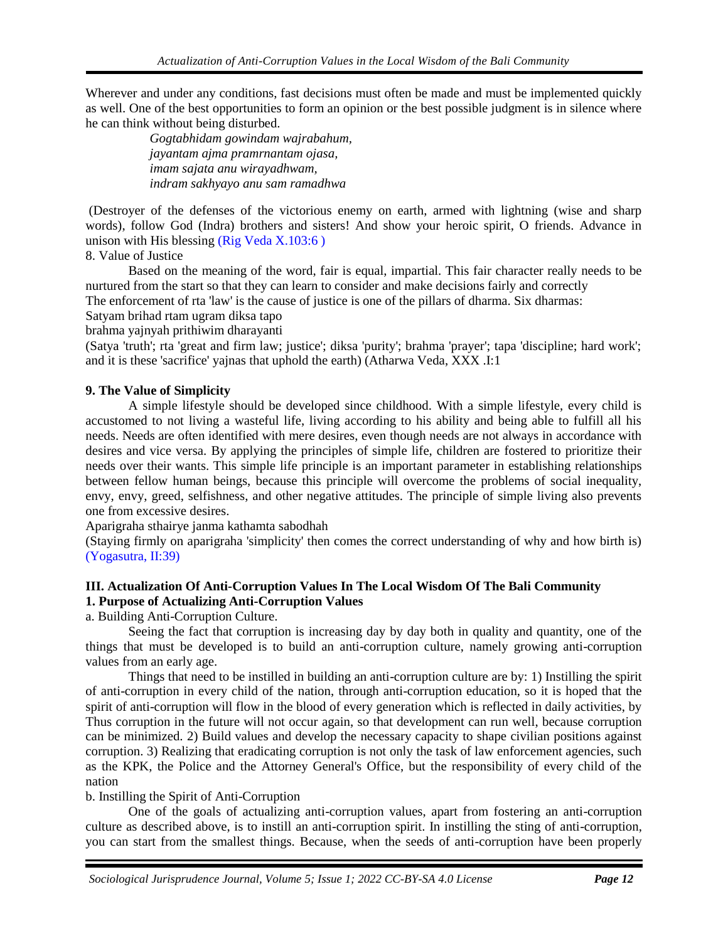Wherever and under any conditions, fast decisions must often be made and must be implemented quickly as well. One of the best opportunities to form an opinion or the best possible judgment is in silence where he can think without being disturbed.

> *Gogtabhidam gowindam wajrabahum, jayantam ajma pramrnantam ojasa, imam sajata anu wirayadhwam, indram sakhyayo anu sam ramadhwa*

(Destroyer of the defenses of the victorious enemy on earth, armed with lightning (wise and sharp words), follow God (Indra) brothers and sisters! And show your heroic spirit, O friends. Advance in unison with His blessing [\(Rig Veda X.103:6 \)](#page-0-0)

# 8. Value of Justice

Based on the meaning of the word, fair is equal, impartial. This fair character really needs to be nurtured from the start so that they can learn to consider and make decisions fairly and correctly

The enforcement of rta 'law' is the cause of justice is one of the pillars of dharma. Six dharmas:

Satyam brihad rtam ugram diksa tapo

brahma yajnyah prithiwim dharayanti

(Satya 'truth'; rta 'great and firm law; justice'; diksa 'purity'; brahma 'prayer'; tapa 'discipline; hard work'; and it is these 'sacrifice' yajnas that uphold the earth) (Atharwa Veda, XXX .I:1

# **9. The Value of Simplicity**

A simple lifestyle should be developed since childhood. With a simple lifestyle, every child is accustomed to not living a wasteful life, living according to his ability and being able to fulfill all his needs. Needs are often identified with mere desires, even though needs are not always in accordance with desires and vice versa. By applying the principles of simple life, children are fostered to prioritize their needs over their wants. This simple life principle is an important parameter in establishing relationships between fellow human beings, because this principle will overcome the problems of social inequality, envy, envy, greed, selfishness, and other negative attitudes. The principle of simple living also prevents one from excessive desires.

Aparigraha sthairye janma kathamta sabodhah

(Staying firmly on aparigraha 'simplicity' then comes the correct understanding of why and how birth is) [\(Yogasutra, II:39\)](#page-0-0)

### **III. Actualization Of Anti-Corruption Values In The Local Wisdom Of The Bali Community 1. Purpose of Actualizing Anti-Corruption Values**

a. Building Anti-Corruption Culture.

Seeing the fact that corruption is increasing day by day both in quality and quantity, one of the things that must be developed is to build an anti-corruption culture, namely growing anti-corruption values from an early age.

Things that need to be instilled in building an anti-corruption culture are by: 1) Instilling the spirit of anti-corruption in every child of the nation, through anti-corruption education, so it is hoped that the spirit of anti-corruption will flow in the blood of every generation which is reflected in daily activities, by Thus corruption in the future will not occur again, so that development can run well, because corruption can be minimized. 2) Build values and develop the necessary capacity to shape civilian positions against corruption. 3) Realizing that eradicating corruption is not only the task of law enforcement agencies, such as the KPK, the Police and the Attorney General's Office, but the responsibility of every child of the nation

b. Instilling the Spirit of Anti-Corruption

One of the goals of actualizing anti-corruption values, apart from fostering an anti-corruption culture as described above, is to instill an anti-corruption spirit. In instilling the sting of anti-corruption, you can start from the smallest things. Because, when the seeds of anti-corruption have been properly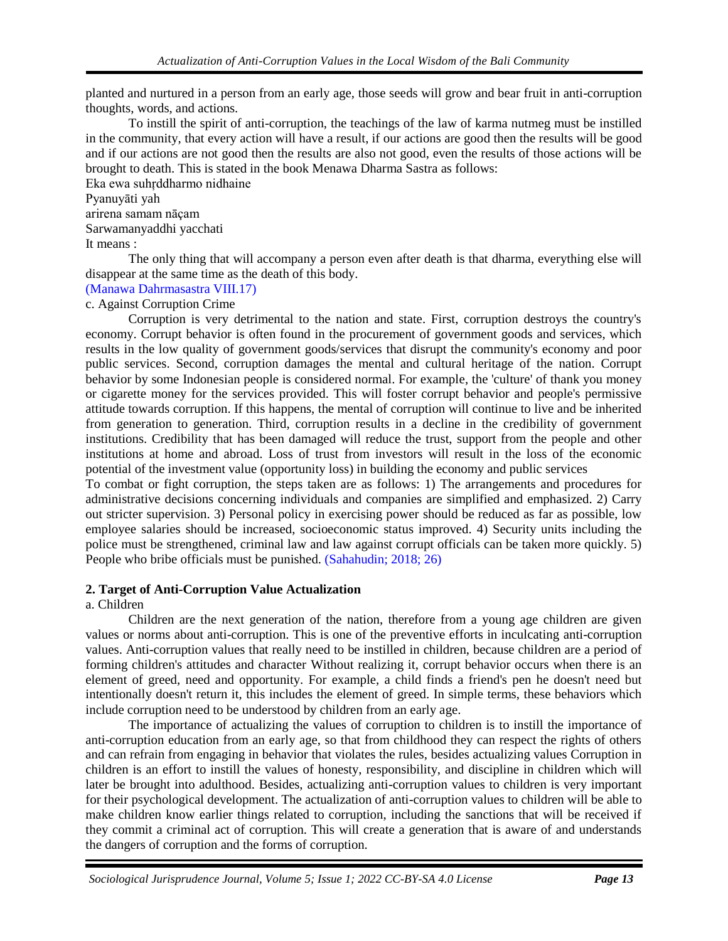planted and nurtured in a person from an early age, those seeds will grow and bear fruit in anti-corruption thoughts, words, and actions.

To instill the spirit of anti-corruption, the teachings of the law of karma nutmeg must be instilled in the community, that every action will have a result, if our actions are good then the results will be good and if our actions are not good then the results are also not good, even the results of those actions will be brought to death. This is stated in the book Menawa Dharma Sastra as follows:

### Eka ewa suhŗddharmo nidhaine Pyanuyāti yah arirena samam nāçam Sarwamanyaddhi yacchati It means :

The only thing that will accompany a person even after death is that dharma, everything else will disappear at the same time as the death of this body.

### [\(Manawa Dahrmasastra VIII.17\)](#page-0-0) c. Against Corruption Crime

Corruption is very detrimental to the nation and state. First, corruption destroys the country's economy. Corrupt behavior is often found in the procurement of government goods and services, which results in the low quality of government goods/services that disrupt the community's economy and poor public services. Second, corruption damages the mental and cultural heritage of the nation. Corrupt behavior by some Indonesian people is considered normal. For example, the 'culture' of thank you money or cigarette money for the services provided. This will foster corrupt behavior and people's permissive attitude towards corruption. If this happens, the mental of corruption will continue to live and be inherited from generation to generation. Third, corruption results in a decline in the credibility of government institutions. Credibility that has been damaged will reduce the trust, support from the people and other institutions at home and abroad. Loss of trust from investors will result in the loss of the economic potential of the investment value (opportunity loss) in building the economy and public services

To combat or fight corruption, the steps taken are as follows: 1) The arrangements and procedures for administrative decisions concerning individuals and companies are simplified and emphasized. 2) Carry out stricter supervision. 3) Personal policy in exercising power should be reduced as far as possible, low employee salaries should be increased, socioeconomic status improved. 4) Security units including the police must be strengthened, criminal law and law against corrupt officials can be taken more quickly. 5) People who bribe officials must be punished. [\(Sahahudin; 2018; 26\)](#page-0-0)

# **2. Target of Anti-Corruption Value Actualization**

# a. Children

Children are the next generation of the nation, therefore from a young age children are given values or norms about anti-corruption. This is one of the preventive efforts in inculcating anti-corruption values. Anti-corruption values that really need to be instilled in children, because children are a period of forming children's attitudes and character Without realizing it, corrupt behavior occurs when there is an element of greed, need and opportunity. For example, a child finds a friend's pen he doesn't need but intentionally doesn't return it, this includes the element of greed. In simple terms, these behaviors which include corruption need to be understood by children from an early age.

The importance of actualizing the values of corruption to children is to instill the importance of anti-corruption education from an early age, so that from childhood they can respect the rights of others and can refrain from engaging in behavior that violates the rules, besides actualizing values Corruption in children is an effort to instill the values of honesty, responsibility, and discipline in children which will later be brought into adulthood. Besides, actualizing anti-corruption values to children is very important for their psychological development. The actualization of anti-corruption values to children will be able to make children know earlier things related to corruption, including the sanctions that will be received if they commit a criminal act of corruption. This will create a generation that is aware of and understands the dangers of corruption and the forms of corruption.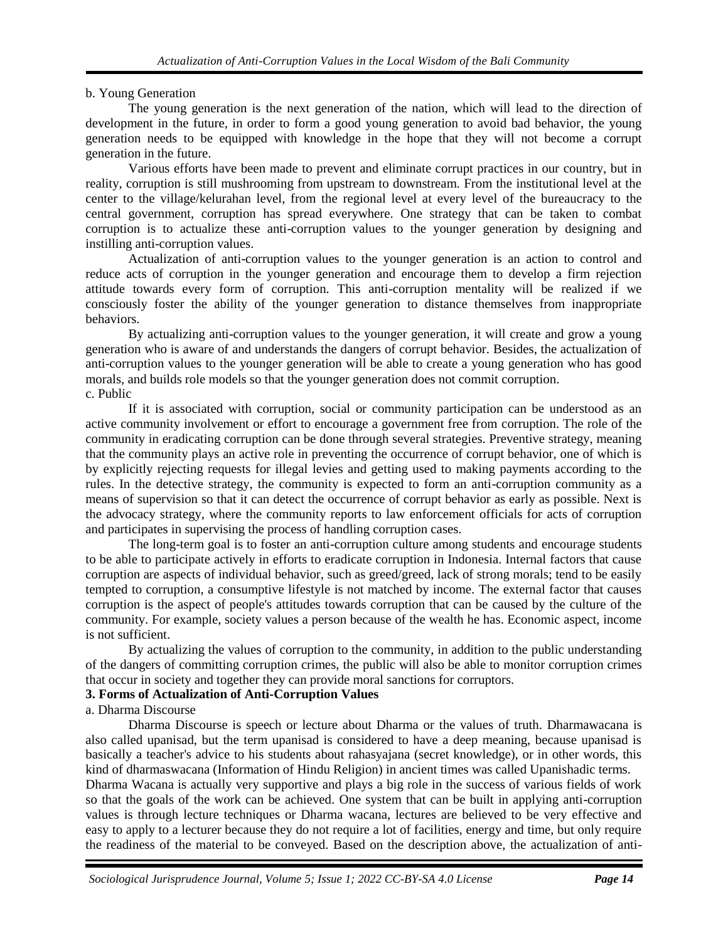# b. Young Generation

The young generation is the next generation of the nation, which will lead to the direction of development in the future, in order to form a good young generation to avoid bad behavior, the young generation needs to be equipped with knowledge in the hope that they will not become a corrupt generation in the future.

Various efforts have been made to prevent and eliminate corrupt practices in our country, but in reality, corruption is still mushrooming from upstream to downstream. From the institutional level at the center to the village/kelurahan level, from the regional level at every level of the bureaucracy to the central government, corruption has spread everywhere. One strategy that can be taken to combat corruption is to actualize these anti-corruption values to the younger generation by designing and instilling anti-corruption values.

Actualization of anti-corruption values to the younger generation is an action to control and reduce acts of corruption in the younger generation and encourage them to develop a firm rejection attitude towards every form of corruption. This anti-corruption mentality will be realized if we consciously foster the ability of the younger generation to distance themselves from inappropriate behaviors.

By actualizing anti-corruption values to the younger generation, it will create and grow a young generation who is aware of and understands the dangers of corrupt behavior. Besides, the actualization of anti-corruption values to the younger generation will be able to create a young generation who has good morals, and builds role models so that the younger generation does not commit corruption. c. Public

If it is associated with corruption, social or community participation can be understood as an active community involvement or effort to encourage a government free from corruption. The role of the community in eradicating corruption can be done through several strategies. Preventive strategy, meaning that the community plays an active role in preventing the occurrence of corrupt behavior, one of which is by explicitly rejecting requests for illegal levies and getting used to making payments according to the rules. In the detective strategy, the community is expected to form an anti-corruption community as a means of supervision so that it can detect the occurrence of corrupt behavior as early as possible. Next is the advocacy strategy, where the community reports to law enforcement officials for acts of corruption and participates in supervising the process of handling corruption cases.

The long-term goal is to foster an anti-corruption culture among students and encourage students to be able to participate actively in efforts to eradicate corruption in Indonesia. Internal factors that cause corruption are aspects of individual behavior, such as greed/greed, lack of strong morals; tend to be easily tempted to corruption, a consumptive lifestyle is not matched by income. The external factor that causes corruption is the aspect of people's attitudes towards corruption that can be caused by the culture of the community. For example, society values a person because of the wealth he has. Economic aspect, income is not sufficient.

By actualizing the values of corruption to the community, in addition to the public understanding of the dangers of committing corruption crimes, the public will also be able to monitor corruption crimes that occur in society and together they can provide moral sanctions for corruptors.

# **3. Forms of Actualization of Anti-Corruption Values**

a. Dharma Discourse

Dharma Discourse is speech or lecture about Dharma or the values of truth. Dharmawacana is also called upanisad, but the term upanisad is considered to have a deep meaning, because upanisad is basically a teacher's advice to his students about rahasyajana (secret knowledge), or in other words, this kind of dharmaswacana (Information of Hindu Religion) in ancient times was called Upanishadic terms.

Dharma Wacana is actually very supportive and plays a big role in the success of various fields of work so that the goals of the work can be achieved. One system that can be built in applying anti-corruption values is through lecture techniques or Dharma wacana, lectures are believed to be very effective and easy to apply to a lecturer because they do not require a lot of facilities, energy and time, but only require the readiness of the material to be conveyed. Based on the description above, the actualization of anti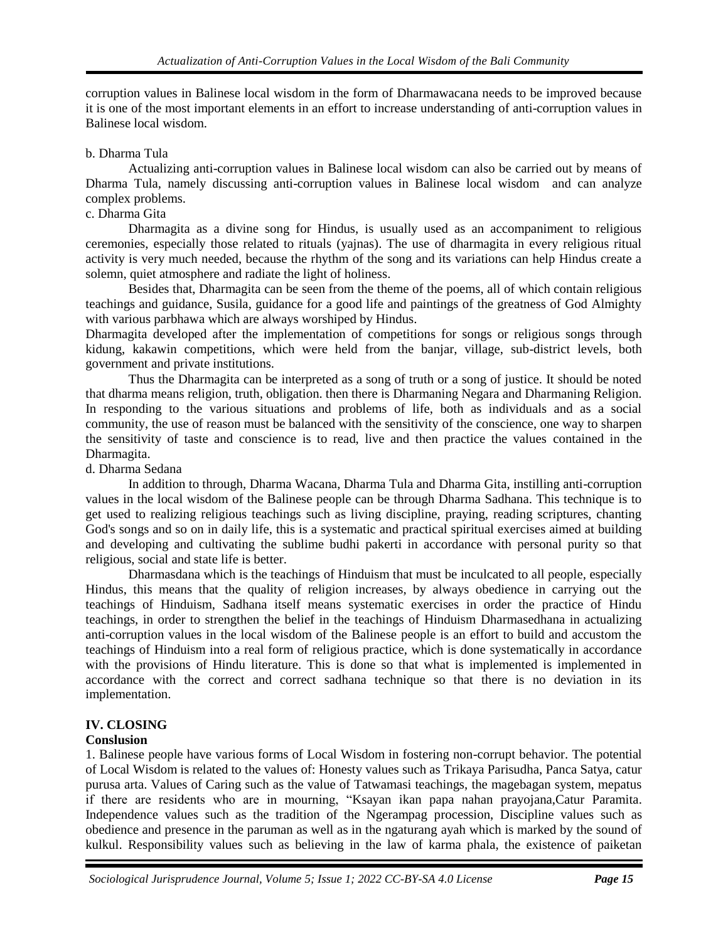corruption values in Balinese local wisdom in the form of Dharmawacana needs to be improved because it is one of the most important elements in an effort to increase understanding of anti-corruption values in Balinese local wisdom.

### b. Dharma Tula

Actualizing anti-corruption values in Balinese local wisdom can also be carried out by means of Dharma Tula, namely discussing anti-corruption values in Balinese local wisdom and can analyze complex problems.

# c. Dharma Gita

Dharmagita as a divine song for Hindus, is usually used as an accompaniment to religious ceremonies, especially those related to rituals (yajnas). The use of dharmagita in every religious ritual activity is very much needed, because the rhythm of the song and its variations can help Hindus create a solemn, quiet atmosphere and radiate the light of holiness.

Besides that, Dharmagita can be seen from the theme of the poems, all of which contain religious teachings and guidance, Susila, guidance for a good life and paintings of the greatness of God Almighty with various parbhawa which are always worshiped by Hindus.

Dharmagita developed after the implementation of competitions for songs or religious songs through kidung, kakawin competitions, which were held from the banjar, village, sub-district levels, both government and private institutions.

Thus the Dharmagita can be interpreted as a song of truth or a song of justice. It should be noted that dharma means religion, truth, obligation. then there is Dharmaning Negara and Dharmaning Religion. In responding to the various situations and problems of life, both as individuals and as a social community, the use of reason must be balanced with the sensitivity of the conscience, one way to sharpen the sensitivity of taste and conscience is to read, live and then practice the values contained in the Dharmagita.

### d. Dharma Sedana

In addition to through, Dharma Wacana, Dharma Tula and Dharma Gita, instilling anti-corruption values in the local wisdom of the Balinese people can be through Dharma Sadhana. This technique is to get used to realizing religious teachings such as living discipline, praying, reading scriptures, chanting God's songs and so on in daily life, this is a systematic and practical spiritual exercises aimed at building and developing and cultivating the sublime budhi pakerti in accordance with personal purity so that religious, social and state life is better.

Dharmasdana which is the teachings of Hinduism that must be inculcated to all people, especially Hindus, this means that the quality of religion increases, by always obedience in carrying out the teachings of Hinduism, Sadhana itself means systematic exercises in order the practice of Hindu teachings, in order to strengthen the belief in the teachings of Hinduism Dharmasedhana in actualizing anti-corruption values in the local wisdom of the Balinese people is an effort to build and accustom the teachings of Hinduism into a real form of religious practice, which is done systematically in accordance with the provisions of Hindu literature. This is done so that what is implemented is implemented in accordance with the correct and correct sadhana technique so that there is no deviation in its implementation.

# **IV. CLOSING**

# **Conslusion**

1. Balinese people have various forms of Local Wisdom in fostering non-corrupt behavior. The potential of Local Wisdom is related to the values of: Honesty values such as Trikaya Parisudha, Panca Satya, catur purusa arta. Values of Caring such as the value of Tatwamasi teachings, the magebagan system, mepatus if there are residents who are in mourning, "Ksayan ikan papa nahan prayojana,Catur Paramita. Independence values such as the tradition of the Ngerampag procession, Discipline values such as obedience and presence in the paruman as well as in the ngaturang ayah which is marked by the sound of kulkul. Responsibility values such as believing in the law of karma phala, the existence of paiketan